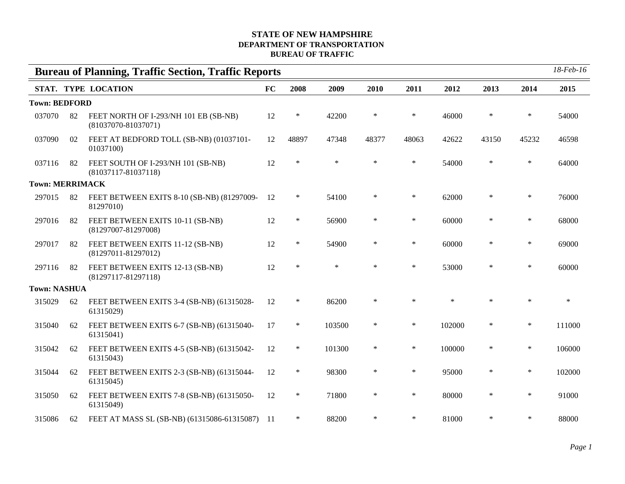## **STATE OF NEW HAMPSHIRE DEPARTMENT OF TRANSPORTATION BUREAU OF TRAFFIC**

|                        |    | <b>Bureau of Planning, Traffic Section, Traffic Reports</b>      |    |        |        |        |        |        |        |        | $18$ -Feb- $16$ |
|------------------------|----|------------------------------------------------------------------|----|--------|--------|--------|--------|--------|--------|--------|-----------------|
|                        |    | STAT. TYPE LOCATION                                              | FC | 2008   | 2009   | 2010   | 2011   | 2012   | 2013   | 2014   | 2015            |
| <b>Town: BEDFORD</b>   |    |                                                                  |    |        |        |        |        |        |        |        |                 |
| 037070                 | 82 | FEET NORTH OF I-293/NH 101 EB (SB-NB)<br>$(81037070 - 81037071)$ | 12 | $\ast$ | 42200  | $\ast$ | $\ast$ | 46000  | $\ast$ | $\ast$ | 54000           |
| 037090                 | 02 | FEET AT BEDFORD TOLL (SB-NB) (01037101-<br>01037100)             | 12 | 48897  | 47348  | 48377  | 48063  | 42622  | 43150  | 45232  | 46598           |
| 037116                 | 82 | FEET SOUTH OF I-293/NH 101 (SB-NB)<br>$(81037117 - 81037118)$    | 12 | $\ast$ | $\ast$ | $\ast$ | $\ast$ | 54000  | $\ast$ | $\ast$ | 64000           |
| <b>Town: MERRIMACK</b> |    |                                                                  |    |        |        |        |        |        |        |        |                 |
| 297015                 | 82 | FEET BETWEEN EXITS 8-10 (SB-NB) (81297009-<br>81297010)          | 12 | $\ast$ | 54100  | $\ast$ | $\ast$ | 62000  | $\ast$ | $\ast$ | 76000           |
| 297016                 | 82 | FEET BETWEEN EXITS 10-11 (SB-NB)<br>$(81297007 - 81297008)$      | 12 | $\ast$ | 56900  | $\ast$ | $\ast$ | 60000  | $\ast$ | $\ast$ | 68000           |
| 297017                 | 82 | FEET BETWEEN EXITS 11-12 (SB-NB)<br>$(81297011 - 81297012)$      | 12 | $\ast$ | 54900  | $\ast$ | $\ast$ | 60000  | $\ast$ | $\ast$ | 69000           |
| 297116                 | 82 | FEET BETWEEN EXITS 12-13 (SB-NB)<br>$(81297117 - 81297118)$      | 12 | $\ast$ | $\ast$ | $\ast$ | $\ast$ | 53000  | $\ast$ | $\ast$ | 60000           |
| <b>Town: NASHUA</b>    |    |                                                                  |    |        |        |        |        |        |        |        |                 |
| 315029                 | 62 | FEET BETWEEN EXITS 3-4 (SB-NB) (61315028-<br>61315029)           | 12 | $\ast$ | 86200  | $\ast$ | $\ast$ | $\ast$ | $\ast$ | $\ast$ | $\ast$          |
| 315040                 | 62 | FEET BETWEEN EXITS 6-7 (SB-NB) (61315040-<br>61315041)           | 17 | $\ast$ | 103500 | $\ast$ | $\ast$ | 102000 | $\ast$ | $\ast$ | 111000          |
| 315042                 | 62 | FEET BETWEEN EXITS 4-5 (SB-NB) (61315042-<br>61315043)           | 12 | $\ast$ | 101300 | $\ast$ | $\ast$ | 100000 | $\ast$ | $\ast$ | 106000          |
| 315044                 | 62 | FEET BETWEEN EXITS 2-3 (SB-NB) (61315044-<br>61315045)           | 12 | $\ast$ | 98300  | $\ast$ | $\ast$ | 95000  | $\ast$ | $\ast$ | 102000          |
| 315050                 | 62 | FEET BETWEEN EXITS 7-8 (SB-NB) (61315050-<br>61315049)           | 12 | $\ast$ | 71800  | $\ast$ | $\ast$ | 80000  | $\ast$ | $\ast$ | 91000           |
| 315086                 | 62 | FEET AT MASS SL (SB-NB) (61315086-61315087) 11                   |    | $\ast$ | 88200  | $\ast$ | $\ast$ | 81000  | $\ast$ | $\ast$ | 88000           |